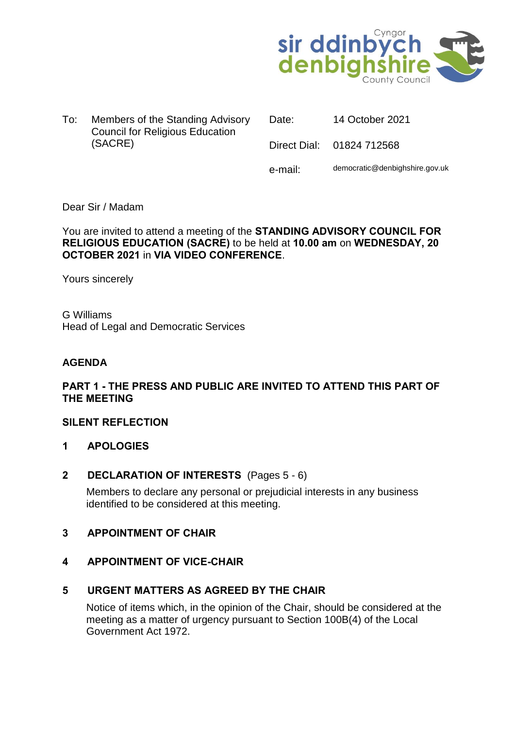

To: Members of the Standing Advisory Council for Religious Education (SACRE)

Date: 14 October 2021 Direct Dial: 01824 712568 e-mail: democratic@denbighshire.gov.uk

# Dear Sir / Madam

You are invited to attend a meeting of the **STANDING ADVISORY COUNCIL FOR RELIGIOUS EDUCATION (SACRE)** to be held at **10.00 am** on **WEDNESDAY, 20 OCTOBER 2021** in **VIA VIDEO CONFERENCE**.

Yours sincerely

G Williams Head of Legal and Democratic Services

## **AGENDA**

# **PART 1 - THE PRESS AND PUBLIC ARE INVITED TO ATTEND THIS PART OF THE MEETING**

## **SILENT REFLECTION**

**1 APOLOGIES** 

## **2 DECLARATION OF INTERESTS** (Pages 5 - 6)

Members to declare any personal or prejudicial interests in any business identified to be considered at this meeting.

## **3 APPOINTMENT OF CHAIR**

## **4 APPOINTMENT OF VICE-CHAIR**

## **5 URGENT MATTERS AS AGREED BY THE CHAIR**

Notice of items which, in the opinion of the Chair, should be considered at the meeting as a matter of urgency pursuant to Section 100B(4) of the Local Government Act 1972.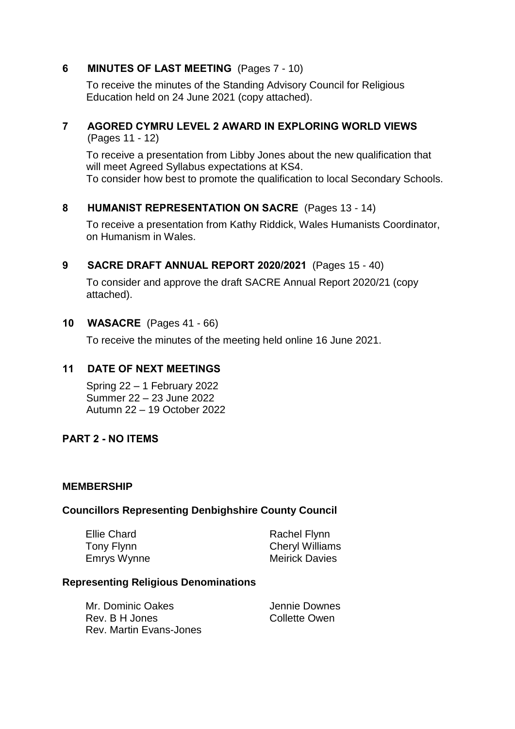# **6 MINUTES OF LAST MEETING** (Pages 7 - 10)

To receive the minutes of the Standing Advisory Council for Religious Education held on 24 June 2021 (copy attached).

# **7 AGORED CYMRU LEVEL 2 AWARD IN EXPLORING WORLD VIEWS**

(Pages 11 - 12)

To receive a presentation from Libby Jones about the new qualification that will meet Agreed Syllabus expectations at KS4.

To consider how best to promote the qualification to local Secondary Schools.

# **8 HUMANIST REPRESENTATION ON SACRE** (Pages 13 - 14)

To receive a presentation from Kathy Riddick, Wales Humanists Coordinator, on Humanism in Wales.

# **9 SACRE DRAFT ANNUAL REPORT 2020/2021** (Pages 15 - 40)

To consider and approve the draft SACRE Annual Report 2020/21 (copy attached).

# **10 WASACRE** (Pages 41 - 66)

To receive the minutes of the meeting held online 16 June 2021.

# **11 DATE OF NEXT MEETINGS**

Spring 22 – 1 February 2022 Summer 22 – 23 June 2022 Autumn 22 – 19 October 2022

## **PART 2 - NO ITEMS**

#### **MEMBERSHIP**

## **Councillors Representing Denbighshire County Council**

Ellie Chard Tony Flynn Emrys Wynne Rachel Flynn Cheryl Williams Meirick Davies

## **Representing Religious Denominations**

| Mr. Dominic Oakes              | Jennie Downes |
|--------------------------------|---------------|
| Rev. B H Jones                 | Collette Owen |
| <b>Rev. Martin Evans-Jones</b> |               |